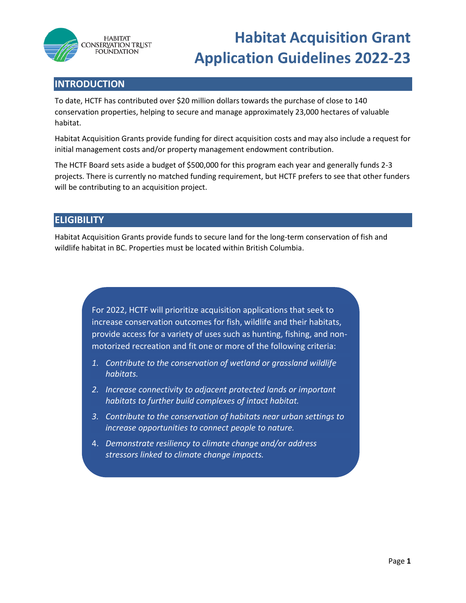

# **Habitat Acquisition Grant Application Guidelines 2022-23**

# **INTRODUCTION**

To date, HCTF has contributed over \$20 million dollars towards the purchase of close to 140 conservation properties, helping to secure and manage approximately 23,000 hectares of valuable habitat.

Habitat Acquisition Grants provide funding for direct acquisition costs and may also include a request for initial management costs and/or property management endowment contribution.

The HCTF Board sets aside a budget of \$500,000 for this program each year and generally funds 2-3 projects. There is currently no matched funding requirement, but HCTF prefers to see that other funders will be contributing to an acquisition project.

# **ELIGIBILITY**

Habitat Acquisition Grants provide funds to secure land for the long-term conservation of fish and wildlife habitat in BC. Properties must be located within British Columbia.

> For 2022, HCTF will prioritize acquisition applications that seek to increase conservation outcomes for fish, wildlife and their habitats, provide access for a variety of uses such as hunting, fishing, and nonmotorized recreation and fit one or more of the following criteria:

- *1. Contribute to the conservation of wetland or grassland wildlife habitats.*
- *2. Increase connectivity to adjacent protected lands or important habitats to further build complexes of intact habitat.*
- *3. Contribute to the conservation of habitats near urban settings to increase opportunities to connect people to nature.*
- 4. *Demonstrate resiliency to climate change and/or address stressors linked to climate change impacts.*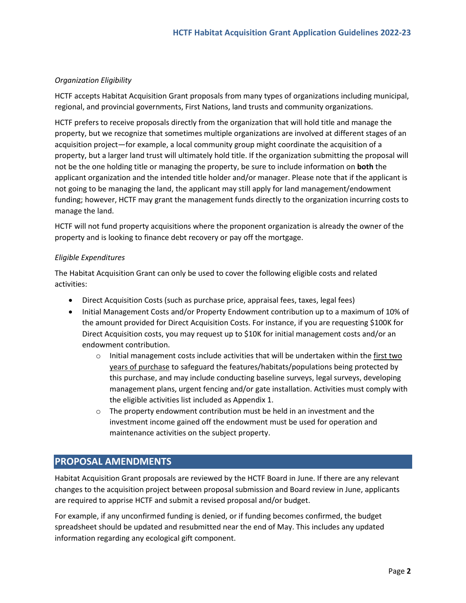## *Organization Eligibility*

HCTF accepts Habitat Acquisition Grant proposals from many types of organizations including municipal, regional, and provincial governments, First Nations, land trusts and community organizations.

HCTF prefers to receive proposals directly from the organization that will hold title and manage the property, but we recognize that sometimes multiple organizations are involved at different stages of an acquisition project—for example, a local community group might coordinate the acquisition of a property, but a larger land trust will ultimately hold title. If the organization submitting the proposal will not be the one holding title or managing the property, be sure to include information on **both** the applicant organization and the intended title holder and/or manager. Please note that if the applicant is not going to be managing the land, the applicant may still apply for land management/endowment funding; however, HCTF may grant the management funds directly to the organization incurring costs to manage the land.

HCTF will not fund property acquisitions where the proponent organization is already the owner of the property and is looking to finance debt recovery or pay off the mortgage.

## *Eligible Expenditures*

The Habitat Acquisition Grant can only be used to cover the following eligible costs and related activities:

- Direct Acquisition Costs (such as purchase price, appraisal fees, taxes, legal fees)
- Initial Management Costs and/or Property Endowment contribution up to a maximum of 10% of the amount provided for Direct Acquisition Costs. For instance, if you are requesting \$100K for Direct Acquisition costs, you may request up to \$10K for initial management costs and/or an endowment contribution.
	- $\circ$  Initial management costs include activities that will be undertaken within the first two years of purchase to safeguard the features/habitats/populations being protected by this purchase, and may include conducting baseline surveys, legal surveys, developing management plans, urgent fencing and/or gate installation. Activities must comply with the eligible activities list included as Appendix 1.
	- $\circ$  The property endowment contribution must be held in an investment and the investment income gained off the endowment must be used for operation and maintenance activities on the subject property.

## **PROPOSAL AMENDMENTS**

Habitat Acquisition Grant proposals are reviewed by the HCTF Board in June. If there are any relevant changes to the acquisition project between proposal submission and Board review in June, applicants are required to apprise HCTF and submit a revised proposal and/or budget.

For example, if any unconfirmed funding is denied, or if funding becomes confirmed, the budget spreadsheet should be updated and resubmitted near the end of May. This includes any updated information regarding any ecological gift component.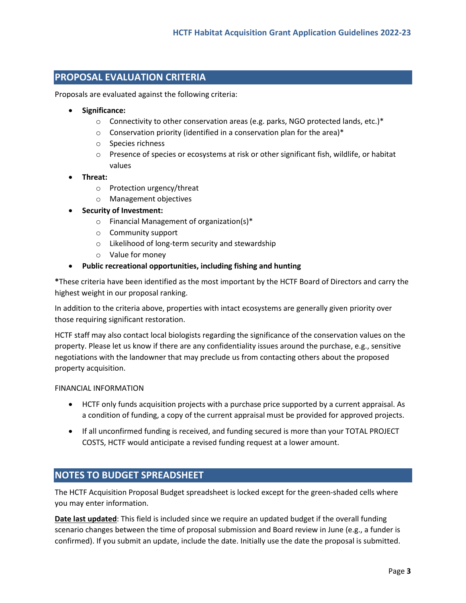# **PROPOSAL EVALUATION CRITERIA**

Proposals are evaluated against the following criteria:

- **Significance:**
	- $\circ$  Connectivity to other conservation areas (e.g. parks, NGO protected lands, etc.)\*
	- $\circ$  Conservation priority (identified in a conservation plan for the area)\*
	- o Species richness
	- o Presence of species or ecosystems at risk or other significant fish, wildlife, or habitat values
- **Threat:** 
	- o Protection urgency/threat
	- o Management objectives
- **Security of Investment:**
	- o Financial Management of organization(s)\*
	- o Community support
	- o Likelihood of long-term security and stewardship
	- o Value for money
- **Public recreational opportunities, including fishing and hunting**

**\***These criteria have been identified as the most important by the HCTF Board of Directors and carry the highest weight in our proposal ranking.

In addition to the criteria above, properties with intact ecosystems are generally given priority over those requiring significant restoration.

HCTF staff may also contact local biologists regarding the significance of the conservation values on the property. Please let us know if there are any confidentiality issues around the purchase, e.g., sensitive negotiations with the landowner that may preclude us from contacting others about the proposed property acquisition.

#### FINANCIAL INFORMATION

- HCTF only funds acquisition projects with a purchase price supported by a current appraisal. As a condition of funding, a copy of the current appraisal must be provided for approved projects.
- If all unconfirmed funding is received, and funding secured is more than your TOTAL PROJECT COSTS, HCTF would anticipate a revised funding request at a lower amount.

## **NOTES TO BUDGET SPREADSHEET**

The HCTF Acquisition Proposal Budget spreadsheet is locked except for the green-shaded cells where you may enter information.

**Date last updated**: This field is included since we require an updated budget if the overall funding scenario changes between the time of proposal submission and Board review in June (e.g., a funder is confirmed). If you submit an update, include the date. Initially use the date the proposal is submitted.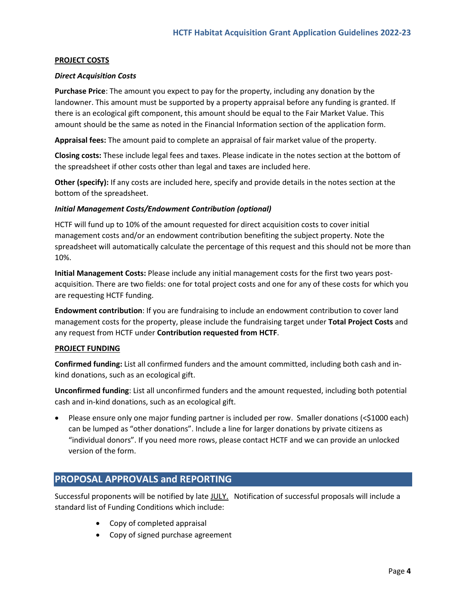## **PROJECT COSTS**

### *Direct Acquisition Costs*

**Purchase Price**: The amount you expect to pay for the property, including any donation by the landowner. This amount must be supported by a property appraisal before any funding is granted. If there is an ecological gift component, this amount should be equal to the Fair Market Value. This amount should be the same as noted in the Financial Information section of the application form.

**Appraisal fees:** The amount paid to complete an appraisal of fair market value of the property.

**Closing costs:** These include legal fees and taxes. Please indicate in the notes section at the bottom of the spreadsheet if other costs other than legal and taxes are included here.

**Other (specify):** If any costs are included here, specify and provide details in the notes section at the bottom of the spreadsheet.

## *Initial Management Costs/Endowment Contribution (optional)*

HCTF will fund up to 10% of the amount requested for direct acquisition costs to cover initial management costs and/or an endowment contribution benefiting the subject property. Note the spreadsheet will automatically calculate the percentage of this request and this should not be more than 10%.

**Initial Management Costs:** Please include any initial management costs for the first two years postacquisition. There are two fields: one for total project costs and one for any of these costs for which you are requesting HCTF funding.

**Endowment contribution**: If you are fundraising to include an endowment contribution to cover land management costs for the property, please include the fundraising target under **Total Project Costs** and any request from HCTF under **Contribution requested from HCTF**.

#### **PROJECT FUNDING**

**Confirmed funding:** List all confirmed funders and the amount committed, including both cash and inkind donations, such as an ecological gift.

**Unconfirmed funding**: List all unconfirmed funders and the amount requested, including both potential cash and in-kind donations, such as an ecological gift.

• Please ensure only one major funding partner is included per row. Smaller donations (<\$1000 each) can be lumped as "other donations". Include a line for larger donations by private citizens as "individual donors". If you need more rows, please contact HCTF and we can provide an unlocked version of the form.

## **PROPOSAL APPROVALS and REPORTING**

Successful proponents will be notified by late JULY. Notification of successful proposals will include a standard list of Funding Conditions which include:

- Copy of completed appraisal
- Copy of signed purchase agreement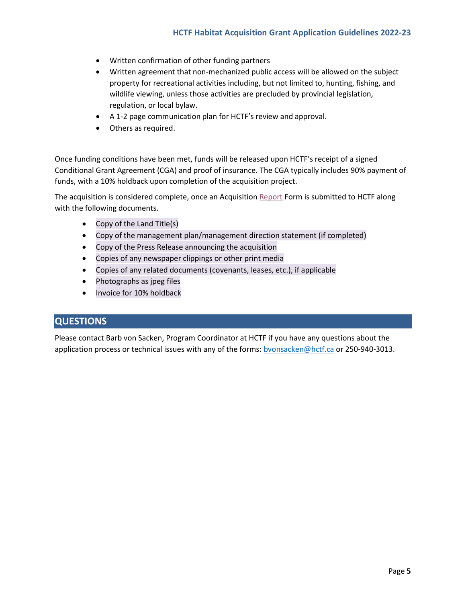- Written confirmation of other funding partners
- Written agreement that non-mechanized public access will be allowed on the subject property for recreational activities including, but not limited to, hunting, fishing, and wildlife viewing, unless those activities are precluded by provincial legislation, regulation, or local bylaw.
- A 1-2 page communication plan for HCTF's review and approval.
- Others as required.

Once funding conditions have been met, funds will be released upon HCTF's receipt of a signed Conditional Grant Agreement (CGA) and proof of insurance. The CGA typically includes 90% payment of funds, with a 10% holdback upon completion of the acquisition project.

The acquisition is considered complete, once an Acquisitio[n Report](https://hctf.ca/wp-content/uploads/2019/06/HCTF-Acquisition-Grant-Report-Form-2018.docx) Form is submitted to HCTF along with the following documents.

- Copy of the Land Title(s)
- Copy of the management plan/management direction statement (if completed)
- Copy of the Press Release announcing the acquisition
- Copies of any newspaper clippings or other print media
- Copies of any related documents (covenants, leases, etc.), if applicable
- Photographs as jpeg files
- Invoice for 10% holdback

## **QUESTIONS**

Please contact Barb von Sacken, Program Coordinator at HCTF if you have any questions about the application process or technical issues with any of the forms: byonsacken@hctf.ca or 250-940-3013.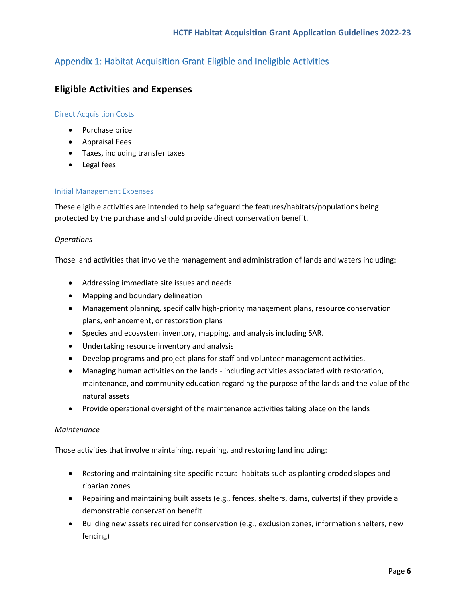# Appendix 1: Habitat Acquisition Grant Eligible and Ineligible Activities

# **Eligible Activities and Expenses**

## Direct Acquisition Costs

- Purchase price
- Appraisal Fees
- Taxes, including transfer taxes
- Legal fees

## Initial Management Expenses

These eligible activities are intended to help safeguard the features/habitats/populations being protected by the purchase and should provide direct conservation benefit.

## *Operations*

Those land activities that involve the management and administration of lands and waters including:

- Addressing immediate site issues and needs
- Mapping and boundary delineation
- Management planning, specifically high-priority management plans, resource conservation plans, enhancement, or restoration plans
- Species and ecosystem inventory, mapping, and analysis including SAR.
- Undertaking resource inventory and analysis
- Develop programs and project plans for staff and volunteer management activities.
- Managing human activities on the lands including activities associated with restoration, maintenance, and community education regarding the purpose of the lands and the value of the natural assets
- Provide operational oversight of the maintenance activities taking place on the lands

#### *Maintenance*

Those activities that involve maintaining, repairing, and restoring land including:

- Restoring and maintaining site-specific natural habitats such as planting eroded slopes and riparian zones
- Repairing and maintaining built assets (e.g., fences, shelters, dams, culverts) if they provide a demonstrable conservation benefit
- Building new assets required for conservation (e.g., exclusion zones, information shelters, new fencing)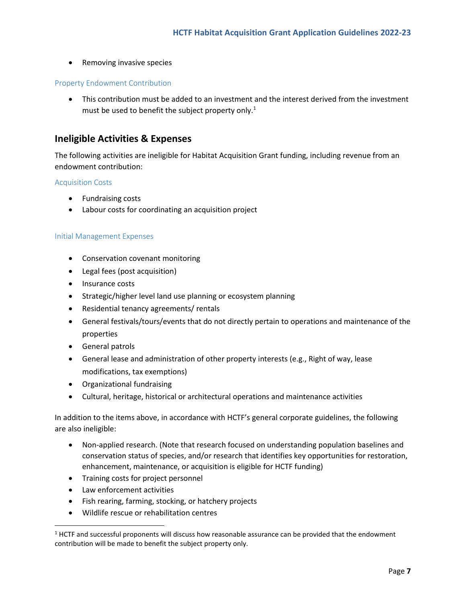• Removing invasive species

### Property Endowment Contribution

• This contribution must be added to an investment and the interest derived from the investment must be used to benefit the subject property only.<sup>1</sup>

## **Ineligible Activities & Expenses**

The following activities are ineligible for Habitat Acquisition Grant funding, including revenue from an endowment contribution:

## Acquisition Costs

- Fundraising costs
- Labour costs for coordinating an acquisition project

#### Initial Management Expenses

- Conservation covenant monitoring
- Legal fees (post acquisition)
- Insurance costs
- Strategic/higher level land use planning or ecosystem planning
- Residential tenancy agreements/ rentals
- General festivals/tours/events that do not directly pertain to operations and maintenance of the properties
- General patrols
- General lease and administration of other property interests (e.g., Right of way, lease modifications, tax exemptions)
- Organizational fundraising
- Cultural, heritage, historical or architectural operations and maintenance activities

In addition to the items above, in accordance with HCTF's general corporate guidelines, the following are also ineligible:

- Non-applied research. (Note that research focused on understanding population baselines and conservation status of species, and/or research that identifies key opportunities for restoration, enhancement, maintenance, or acquisition is eligible for HCTF funding)
- Training costs for project personnel
- Law enforcement activities
- Fish rearing, farming, stocking, or hatchery projects
- Wildlife rescue or rehabilitation centres

 $<sup>1</sup>$  HCTF and successful proponents will discuss how reasonable assurance can be provided that the endowment</sup> contribution will be made to benefit the subject property only.